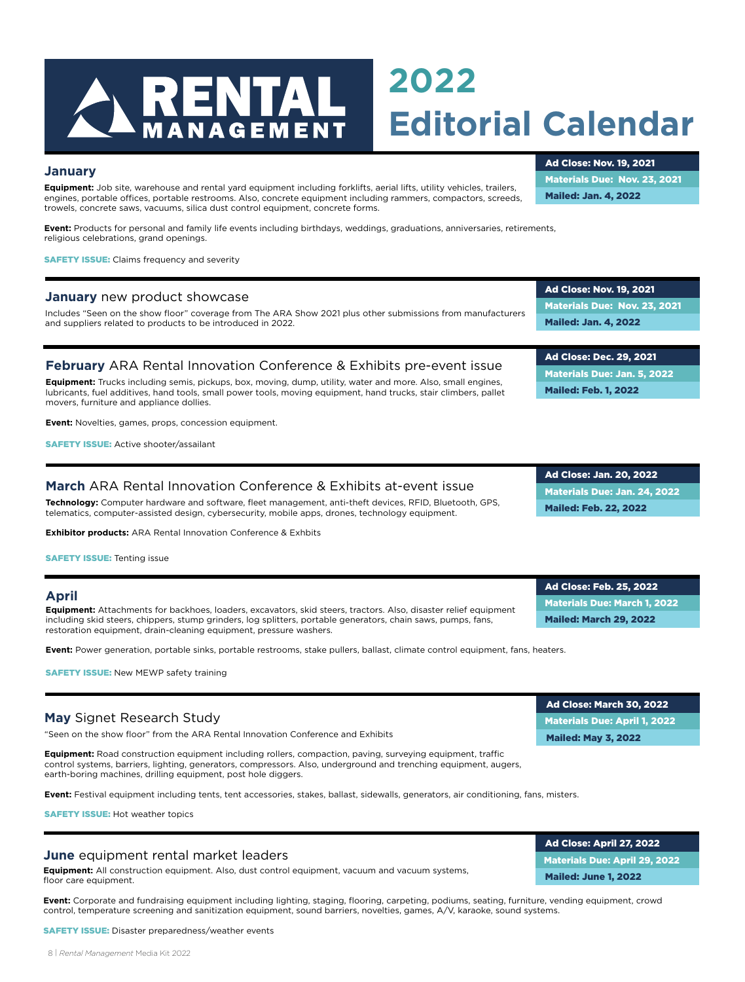

# **2022 Editorial Calendar**

#### **January**

**Equipment:** Job site, warehouse and rental yard equipment including forklifts, aerial lifts, utility vehicles, trailers, engines, portable offices, portable restrooms. Also, concrete equipment including rammers, compactors, screeds, trowels, concrete saws, vacuums, silica dust control equipment, concrete forms.

**Event:** Products for personal and family life events including birthdays, weddings, graduations, anniversaries, retirements, religious celebrations, grand openings.

**SAFETY ISSUE:** Claims frequency and severity

#### **January** new product showcase

Includes "Seen on the show floor" coverage from The ARA Show 2021 plus other submissions from manufacturers and suppliers related to products to be introduced in 2022.

## **February** ARA Rental Innovation Conference & Exhibits pre-event issue

**Equipment:** Trucks including semis, pickups, box, moving, dump, utility, water and more. Also, small engines, lubricants, fuel additives, hand tools, small power tools, moving equipment, hand trucks, stair climbers, pallet movers, furniture and appliance dollies.

**Event:** Novelties, games, props, concession equipment.

**SAFETY ISSUE:** Active shooter/assailant

## **March** ARA Rental Innovation Conference & Exhibits at-event issue

**Technology:** Computer hardware and software, fleet management, anti-theft devices, RFID, Bluetooth, GPS, telematics, computer-assisted design, cybersecurity, mobile apps, drones, technology equipment.

**Exhibitor products:** ARA Rental Innovation Conference & Exhbits

SAFETY ISSUE: Tenting issue

## **April**

**Equipment:** Attachments for backhoes, loaders, excavators, skid steers, tractors. Also, disaster relief equipment including skid steers, chippers, stump grinders, log splitters, portable generators, chain saws, pumps, fans, restoration equipment, drain-cleaning equipment, pressure washers.

**Event:** Power generation, portable sinks, portable restrooms, stake pullers, ballast, climate control equipment, fans, heaters.

**SAFETY ISSUE:** New MEWP safety training

## **May** Signet Research Study

"Seen on the show floor" from the ARA Rental Innovation Conference and Exhibits

**Equipment:** Road construction equipment including rollers, compaction, paving, surveying equipment, traffic control systems, barriers, lighting, generators, compressors. Also, underground and trenching equipment, augers, earth-boring machines, drilling equipment, post hole diggers.

**Event:** Festival equipment including tents, tent accessories, stakes, ballast, sidewalls, generators, air conditioning, fans, misters.

SAFETY ISSUE: Hot weather topics

## **June** equipment rental market leaders

**Equipment:** All construction equipment. Also, dust control equipment, vacuum and vacuum systems, floor care equipment.

**Event:** Corporate and fundraising equipment including lighting, staging, flooring, carpeting, podiums, seating, furniture, vending equipment, crowd control, temperature screening and sanitization equipment, sound barriers, novelties, games, A/V, karaoke, sound systems.

Ad Close: April 27, 2022 Materials Due: April 29, 2022 Mailed: June 1, 2022

Ad Close: Feb. 25, 2022

Materials Due: March 1, 2022 Mailed: March 29, 2022

Mailed: May 3, 2022

Ad Close: March 30, 2022 Materials Due: April 1, 2022

SAFETY ISSUE: Disaster preparedness/weather events

Ad Close: Nov. 19, 2021

Ad Close: Nov. 19, 2021 Materials Due: Nov. 23, 2021

Ad Close: Dec. 29, 2021 Materials Due: Jan. 5, 2022 Mailed: Feb. 1, 2022

Mailed: Jan. 4, 2022

Materials Due: Nov. 23, 2021 Mailed: Jan. 4, 2022

Materials Due: Jan. 24, 2022 Mailed: Feb. 22, 2022

Ad Close: Jan. 20, 2022